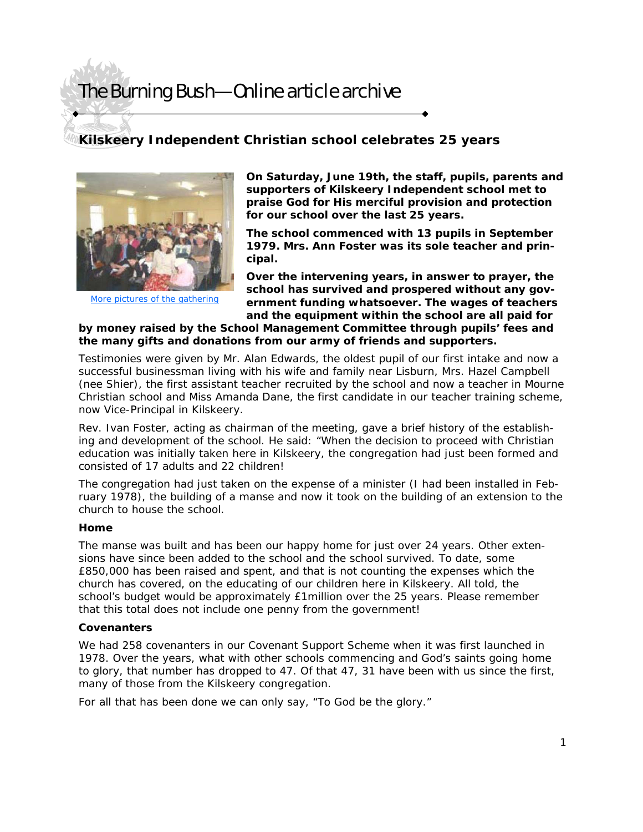## The Burning Bush—Online article archive

## **Kilskeery Independent Christian school celebrates 25 years**



[More pictures of the gathering](http://www.sermonaudio.com/gallery.asp?SourceID=kilskeery&GalleryID=ki62304134520)

**On Saturday, June 19th, the staff, pupils, parents and supporters of Kilskeery Independent school met to praise God for His merciful provision and protection for our school over the last 25 years.** 

**The school commenced with 13 pupils in September 1979. Mrs. Ann Foster was its sole teacher and principal.** 

**Over the intervening years, in answer to prayer, the school has survived and prospered without any government funding whatsoever. The wages of teachers and the equipment within the school are all paid for** 

## **by money raised by the School Management Committee through pupils' fees and the many gifts and donations from our army of friends and supporters.**

Testimonies were given by Mr. Alan Edwards, the oldest pupil of our first intake and now a successful businessman living with his wife and family near Lisburn, Mrs. Hazel Campbell (nee Shier), the first assistant teacher recruited by the school and now a teacher in Mourne Christian school and Miss Amanda Dane, the first candidate in our teacher training scheme, now Vice-Principal in Kilskeery.

Rev. Ivan Foster, acting as chairman of the meeting, gave a brief history of the establishing and development of the school. He said: "When the decision to proceed with Christian education was initially taken here in Kilskeery, the congregation had just been formed and consisted of 17 adults and 22 children!

The congregation had just taken on the expense of a minister (I had been installed in February 1978), the building of a manse and now it took on the building of an extension to the church to house the school.

### **Home**

The manse was built and has been our happy home for just over 24 years. Other extensions have since been added to the school and the school survived. To date, some £850,000 has been raised and spent, and that is not counting the expenses which the church has covered, on the educating of our children here in Kilskeery. All told, the school's budget would be approximately £1million over the 25 years. Please remember that this total does not include one penny from the government!

#### **Covenanters**

We had 258 covenanters in our Covenant Support Scheme when it was first launched in 1978. Over the years, what with other schools commencing and God's saints going home to glory, that number has dropped to 47. Of that 47, 31 have been with us since the first, many of those from the Kilskeery congregation.

For all that has been done we can only say, "To God be the glory."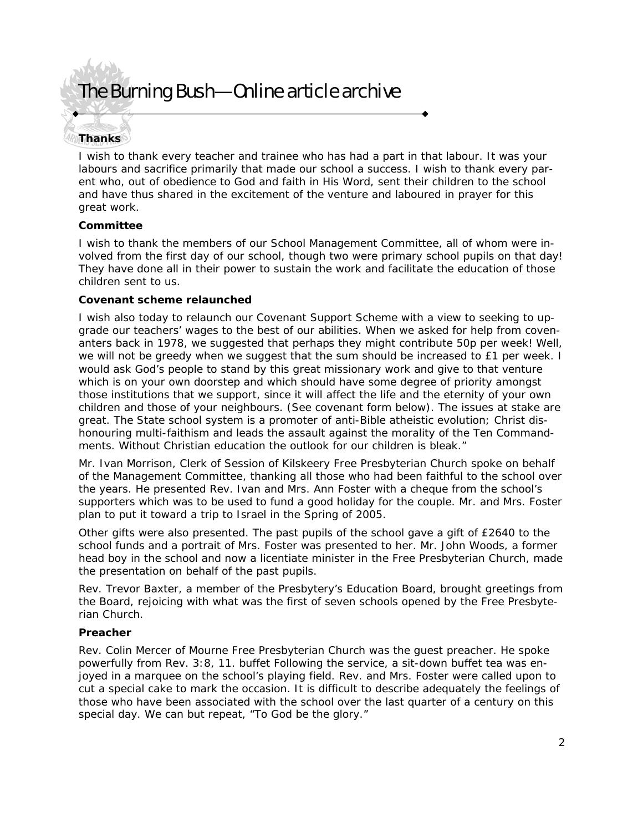## The Burning Bush—Online article archive

## **Thanks**

I wish to thank every teacher and trainee who has had a part in that labour. It was your labours and sacrifice primarily that made our school a success. I wish to thank every parent who, out of obedience to God and faith in His Word, sent their children to the school and have thus shared in the excitement of the venture and laboured in prayer for this great work.

### **Committee**

I wish to thank the members of our School Management Committee, all of whom were involved from the first day of our school, though two were primary school pupils on that day! They have done all in their power to sustain the work and facilitate the education of those children sent to us.

#### **Covenant scheme relaunched**

I wish also today to relaunch our Covenant Support Scheme with a view to seeking to upgrade our teachers' wages to the best of our abilities. When we asked for help from covenanters back in 1978, we suggested that perhaps they might contribute 50p per week! Well, we will not be greedy when we suggest that the sum should be increased to £1 per week. I would ask God's people to stand by this great missionary work and give to that venture which is on your own doorstep and which should have some degree of priority amongst those institutions that we support, since it will affect the life and the eternity of your own children and those of your neighbours. (See covenant form below). The issues at stake are great. The State school system is a promoter of anti-Bible atheistic evolution; Christ dishonouring multi-faithism and leads the assault against the morality of the Ten Commandments. Without Christian education the outlook for our children is bleak."

Mr. Ivan Morrison, Clerk of Session of Kilskeery Free Presbyterian Church spoke on behalf of the Management Committee, thanking all those who had been faithful to the school over the years. He presented Rev. Ivan and Mrs. Ann Foster with a cheque from the school's supporters which was to be used to fund a good holiday for the couple. Mr. and Mrs. Foster plan to put it toward a trip to Israel in the Spring of 2005.

Other gifts were also presented. The past pupils of the school gave a gift of £2640 to the school funds and a portrait of Mrs. Foster was presented to her. Mr. John Woods, a former head boy in the school and now a licentiate minister in the Free Presbyterian Church, made the presentation on behalf of the past pupils.

Rev. Trevor Baxter, a member of the Presbytery's Education Board, brought greetings from the Board, rejoicing with what was the first of seven schools opened by the Free Presbyterian Church.

### **Preacher**

Rev. Colin Mercer of Mourne Free Presbyterian Church was the guest preacher. He spoke powerfully from Rev. 3:8, 11. buffet Following the service, a sit-down buffet tea was enjoyed in a marquee on the school's playing field. Rev. and Mrs. Foster were called upon to cut a special cake to mark the occasion. It is difficult to describe adequately the feelings of those who have been associated with the school over the last quarter of a century on this special day. We can but repeat, "To God be the glory."